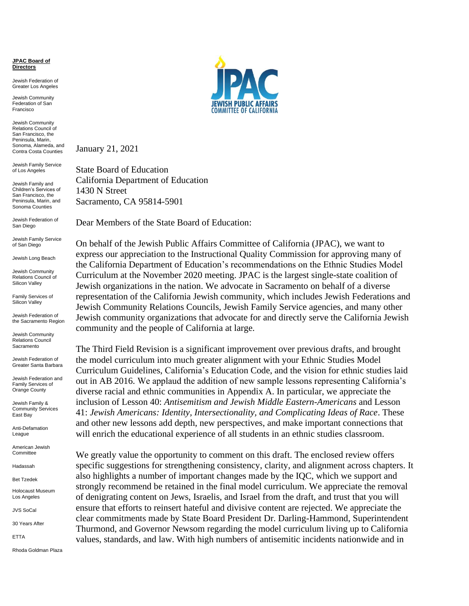**JPAC Board of Directors**

Jewish Federation of Greater Los Angeles

Jewish Community Federation of San Francisco

Jewish Community Relations Council of San Francisco, the Peninsula, Marin, Sonoma, Alameda, and Contra Costa Counties

Jewish Family Service of Los Angeles

Jewish Family and Children's Services of San Francisco, the Peninsula, Marin, and Sonoma Counties

Jewish Federation of San Diego

Jewish Family Service of San Diego

Jewish Long Beach

Jewish Community Relations Council of Silicon Valley

Family Services of Silicon Valley

Jewish Federation of the Sacramento Region

Jewish Community Relations Council **Sacramento** 

Jewish Federation of Greater Santa Barbara

Jewish Federation and Family Services of Orange County

Jewish Family & Community Services East Bay

Anti-Defamation League

American Jewish **Committee** 

Hadassah

Bet Tzedek

Holocaust Museum Los Angeles

JVS SoCal

30 Years After

ETTA

Rhoda Goldman Plaza



January 21, 2021

State Board of Education California Department of Education 1430 N Street Sacramento, CA 95814-5901

Dear Members of the State Board of Education:

On behalf of the Jewish Public Affairs Committee of California (JPAC), we want to express our appreciation to the Instructional Quality Commission for approving many of the California Department of Education's recommendations on the Ethnic Studies Model Curriculum at the November 2020 meeting. JPAC is the largest single-state coalition of Jewish organizations in the nation. We advocate in Sacramento on behalf of a diverse representation of the California Jewish community, which includes Jewish Federations and Jewish Community Relations Councils, Jewish Family Service agencies, and many other Jewish community organizations that advocate for and directly serve the California Jewish community and the people of California at large.

The Third Field Revision is a significant improvement over previous drafts, and brought the model curriculum into much greater alignment with your Ethnic Studies Model Curriculum Guidelines, California's Education Code, and the vision for ethnic studies laid out in AB 2016. We applaud the addition of new sample lessons representing California's diverse racial and ethnic communities in Appendix A. In particular, we appreciate the inclusion of Lesson 40: *Antisemitism and Jewish Middle Eastern-Americans* and Lesson 41: *Jewish Americans: Identity, Intersectionality, and Complicating Ideas of Race*. These and other new lessons add depth, new perspectives, and make important connections that will enrich the educational experience of all students in an ethnic studies classroom.

We greatly value the opportunity to comment on this draft. The enclosed review offers specific suggestions for strengthening consistency, clarity, and alignment across chapters. It also highlights a number of important changes made by the IQC, which we support and strongly recommend be retained in the final model curriculum. We appreciate the removal of denigrating content on Jews, Israelis, and Israel from the draft, and trust that you will ensure that efforts to reinsert hateful and divisive content are rejected. We appreciate the clear commitments made by State Board President Dr. Darling-Hammond, Superintendent Thurmond, and Governor Newsom regarding the model curriculum living up to California values, standards, and law. With high numbers of antisemitic incidents nationwide and in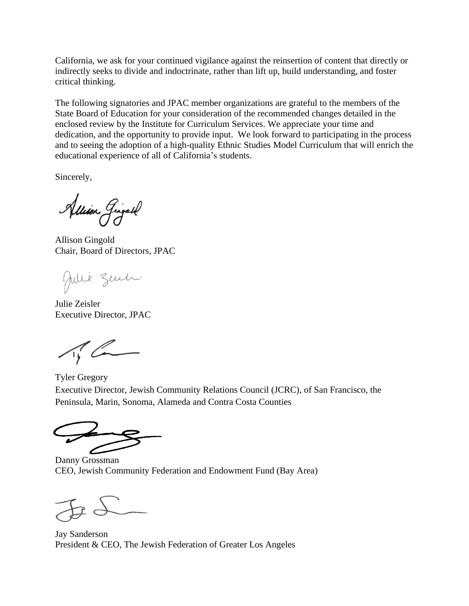California, we ask for your continued vigilance against the reinsertion of content that directly or indirectly seeks to divide and indoctrinate, rather than lift up, build understanding, and foster critical thinking.

The following signatories and JPAC member organizations are grateful to the members of the State Board of Education for your consideration of the recommended changes detailed in the enclosed review by the Institute for Curriculum Services. We appreciate your time and dedication, and the opportunity to provide input. We look forward to participating in the process and to seeing the adoption of a high-quality Ethnic Studies Model Curriculum that will enrich the educational experience of all of California's students.

Sincerely,

Allison Gingall

Allison Gingold Chair, Board of Directors, JPAC

Julie Zuch.

Julie Zeisler Executive Director, JPAC

Tyler Gregory Executive Director, Jewish Community Relations Council (JCRC), of San Francisco, the Peninsula, Marin, Sonoma, Alameda and Contra Costa Counties

Danny Grossman CEO, Jewish Community Federation and Endowment Fund (Bay Area)

Jay Sanderson President & CEO, The Jewish Federation of Greater Los Angeles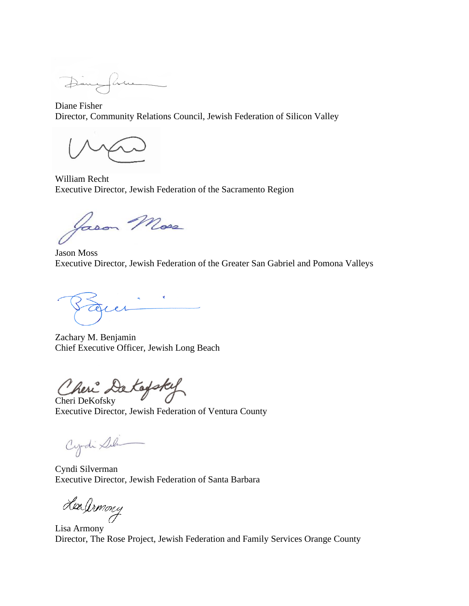Diane Fisher Director, Community Relations Council, Jewish Federation of Silicon Valley

William Recht Executive Director, Jewish Federation of the Sacramento Region

Jason Moss

Jason Moss Executive Director, Jewish Federation of the Greater San Gabriel and Pomona Valleys

 $\rho$   $\Lambda$ 

Zachary M. Benjamin Chief Executive Officer, Jewish Long Beach

Cheri DeKofsky

Executive Director, Jewish Federation of Ventura County

Cyrdi Sili

Cyndi Silverman Executive Director, Jewish Federation of Santa Barbara

Leadrmony

Lisa Armony Director, The Rose Project, Jewish Federation and Family Services Orange County